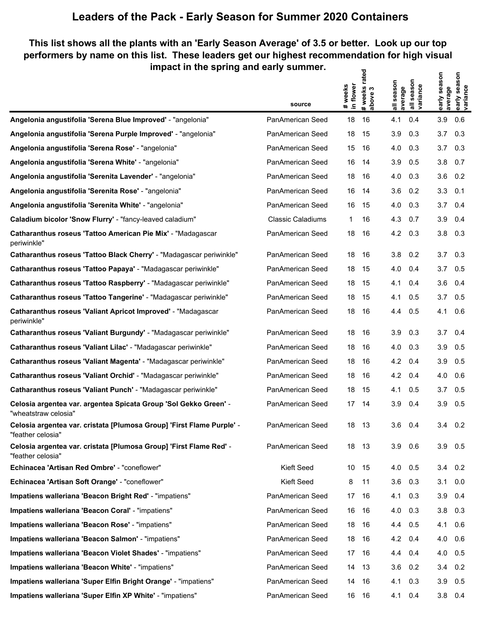## **Leaders of the Pack - Early Season for Summer 2020 Containers**

## **This list shows all the plants with an 'Early Season Average' of 3.5 or better. Look up our top performers by name on this list. These leaders get our highest recommendation for high visual impact in the spring and early summer.**  $\overline{\mathbf{z}}$

|                                                                                            | source                   | # weeks<br>in flower | # weeks rate<br>above 3 | all season<br>average | all season<br>variance | early season<br>average | early season<br>variance |
|--------------------------------------------------------------------------------------------|--------------------------|----------------------|-------------------------|-----------------------|------------------------|-------------------------|--------------------------|
| Angelonia angustifolia 'Serena Blue Improved' - "angelonia"                                | PanAmerican Seed         | 18                   | 16                      | 4.1                   | 0.4                    | 3.9                     | 0.6                      |
| Angelonia angustifolia 'Serena Purple Improved' - "angelonia"                              | PanAmerican Seed         | 18                   | 15                      | 3.9                   | 0.3                    | 3.7                     | 0.3                      |
| Angelonia angustifolia 'Serena Rose' - "angelonia"                                         | PanAmerican Seed         | 15                   | 16                      | 4.0                   | 0.3                    | 3.7                     | 0.3                      |
| Angelonia angustifolia 'Serena White' - "angelonia"                                        | PanAmerican Seed         | 16                   | 14                      | 3.9                   | 0.5                    | 3.8                     | 0.7                      |
| Angelonia angustifolia 'Serenita Lavender' - "angelonia"                                   | PanAmerican Seed         | 18                   | 16                      | 4.0                   | 0.3                    | 3.6                     | 0.2                      |
| Angelonia angustifolia 'Serenita Rose' - "angelonia"                                       | PanAmerican Seed         | 16                   | 14                      | 3.6                   | 0.2                    | 3.3                     | 0.1                      |
| Angelonia angustifolia 'Serenita White' - "angelonia"                                      | PanAmerican Seed         | 16                   | 15                      | 4.0                   | 0.3                    | 3.7                     | 0.4                      |
| Caladium bicolor 'Snow Flurry' - "fancy-leaved caladium"                                   | <b>Classic Caladiums</b> | 1                    | 16                      | 4.3                   | 0.7                    | 3.9                     | 0.4                      |
| Catharanthus roseus 'Tattoo American Pie Mix' - "Madagascar<br>periwinkle"                 | PanAmerican Seed         | 18                   | 16                      | 4.2                   | 0.3                    | 3.8                     | 0.3                      |
| Catharanthus roseus 'Tattoo Black Cherry' - "Madagascar periwinkle"                        | PanAmerican Seed         | 18                   | -16                     | 3.8                   | 0.2                    | 3.7                     | 0.3                      |
| Catharanthus roseus 'Tattoo Papaya' - "Madagascar periwinkle"                              | PanAmerican Seed         | 18                   | -15                     | 4.0                   | 0.4                    | 3.7                     | 0.5                      |
| Catharanthus roseus 'Tattoo Raspberry' - "Madagascar periwinkle"                           | PanAmerican Seed         | 18                   | 15                      | 4.1                   | 0.4                    | 3.6                     | 0.4                      |
| Catharanthus roseus 'Tattoo Tangerine' - "Madagascar periwinkle"                           | PanAmerican Seed         | 18                   | 15                      | 4.1                   | 0.5                    | 3.7                     | 0.5                      |
| Catharanthus roseus 'Valiant Apricot Improved' - "Madagascar<br>periwinkle"                | PanAmerican Seed         | 18                   | 16                      | 4.4                   | 0.5                    | 4.1                     | 0.6                      |
| Catharanthus roseus 'Valiant Burgundy' - "Madagascar periwinkle"                           | PanAmerican Seed         | 18                   | 16                      | 3.9                   | 0.3                    | 3.7                     | 0.4                      |
| Catharanthus roseus 'Valiant Lilac' - "Madagascar periwinkle"                              | PanAmerican Seed         | 18                   | 16                      | 4.0                   | 0.3                    | 3.9                     | 0.5                      |
| Catharanthus roseus 'Valiant Magenta' - "Madagascar periwinkle"                            | PanAmerican Seed         | 18                   | 16                      | 4.2                   | 0.4                    | 3.9                     | 0.5                      |
| Catharanthus roseus 'Valiant Orchid' - "Madagascar periwinkle"                             | PanAmerican Seed         | 18                   | 16                      | 4.2                   | 0.4                    | 4.0                     | 0.6                      |
| Catharanthus roseus 'Valiant Punch' - "Madagascar periwinkle"                              | PanAmerican Seed         | 18                   | 15                      | 4.1                   | 0.5                    | 3.7                     | 0.5                      |
| Celosia argentea var. argentea Spicata Group 'Sol Gekko Green' -<br>"wheatstraw celosia"   | PanAmerican Seed         | 17                   | 14                      | 3.9                   | 0.4                    | 3.9                     | 0.5                      |
| Celosia argentea var. cristata [Plumosa Group] 'First Flame Purple' -<br>"feather celosia" | PanAmerican Seed         | 18                   | 13                      | 3.6                   | 0.4                    | 3.4                     | 0.2                      |
| Celosia argentea var. cristata [Plumosa Group] 'First Flame Red' -<br>"feather celosia"    | PanAmerican Seed         | 18                   | 13                      | 3.9                   | 0.6                    | 3.9                     | 0.5                      |
| Echinacea 'Artisan Red Ombre' - "coneflower"                                               | Kieft Seed               | 10                   | - 15                    | 4.0                   | 0.5                    | $3.4$ 0.2               |                          |
| Echinacea 'Artisan Soft Orange' - "coneflower"                                             | Kieft Seed               | 8                    | 11                      | 3.6                   | 0.3                    | 3.1                     | 0.0                      |
| Impatiens walleriana 'Beacon Bright Red' - "impatiens"                                     | PanAmerican Seed         |                      | 17 16                   | 4.1                   | 0.3                    | 3.9                     | 0.4                      |
| Impatiens walleriana 'Beacon Coral' - "impatiens"                                          | PanAmerican Seed         | 16                   | - 16                    | 4.0                   | 0.3                    | $3.8$ 0.3               |                          |
| Impatiens walleriana 'Beacon Rose' - "impatiens"                                           | PanAmerican Seed         | 18                   | -16                     | 4.4                   | 0.5                    | 4.1                     | 0.6                      |
| Impatiens walleriana 'Beacon Salmon' - "impatiens"                                         | PanAmerican Seed         | 18                   | -16                     | $4.2 \quad 0.4$       |                        | $4.0\quad 0.6$          |                          |
| Impatiens walleriana 'Beacon Violet Shades' - "impatiens"                                  | PanAmerican Seed         |                      | 17 16                   | 4.4                   | 0.4                    | 4.0                     | 0.5                      |
| Impatiens walleriana 'Beacon White' - "impatiens"                                          | PanAmerican Seed         | 14                   | - 13                    | 3.6                   | 0.2                    | $3.4$ 0.2               |                          |
| Impatiens walleriana 'Super Elfin Bright Orange' - "impatiens"                             | PanAmerican Seed         | 14                   | -16                     | 4.1                   | 0.3                    | 3.9                     | 0.5                      |
| Impatiens walleriana 'Super Elfin XP White' - "impatiens"                                  | PanAmerican Seed         |                      | 16 16                   | 4.1 0.4               |                        | $3.8\quad 0.4$          |                          |